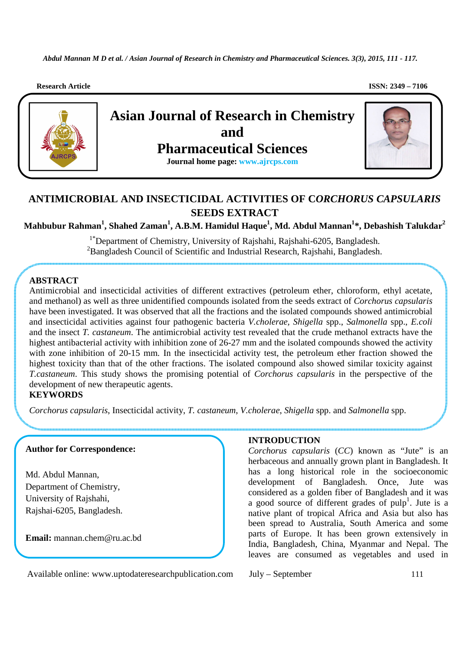**Research Article ISSN: 2349 – 7106** 



# **ANTIMICROBIAL AND INSECTICIDAL ACTIVITIES OF C***ORCHORUS CAPSULARIS*  **SEEDS EXTRACT**

**Mahbubur Rahman<sup>1</sup> , Shahed Zaman<sup>1</sup> , A.B.M. Hamidul Haque<sup>1</sup> , Md. Abdul Mannan<sup>1</sup> \*, Debashish Talukdar<sup>2</sup>**

<sup>1\*</sup>Department of Chemistry, University of Rajshahi, Rajshahi-6205, Bangladesh. <sup>2</sup>Bangladesh Council of Scientific and Industrial Research, Rajshahi, Bangladesh.

## **ABSTRACT**

Antimicrobial and insecticidal activities of different extractives (petroleum ether, chloroform, ethyl acetate, and methanol) as well as three unidentified compounds isolated from the seeds extract of *Corchorus capsularis* have been investigated. It was observed that all the fractions and the isolated compounds showed antimicrobial and insecticidal activities against four pathogenic bacteria *V.cholerae, Shigella* spp., *Salmonella* spp., *E.coli*  and the insect *T. castaneum*. The antimicrobial activity test revealed that the crude methanol extracts have the highest antibacterial activity with inhibition zone of 26-27 mm and the isolated compounds showed the activity with zone inhibition of 20-15 mm. In the insecticidal activity test, the petroleum ether fraction showed the highest toxicity than that of the other fractions. The isolated compound also showed similar toxicity against *T.castaneum*. This study shows the promising potential of *Corchorus capsularis* in the perspective of the development of new therapeutic agents.

**KEYWORDS** 

**s**  *Corchorus capsularis*, Insecticidal activity, *T. castaneum*, *V.cholerae*, *Shigella* spp. and *Salmonella* spp.

#### **Author for Correspondence:**

Md. Abdul Mannan, Department of Chemistry, University of Rajshahi, Rajshai-6205, Bangladesh.

**Email:** mannan.chem@ru.ac.bd

### **INTRODUCTION**

*Corchorus capsularis* (*CC*) known as "Jute" is an herbaceous and annually grown plant in Bangladesh. It has a long historical role in the socioeconomic development of Bangladesh. Once, Jute was considered as a golden fiber of Bangladesh and it was a good source of different grades of pulp<sup>1</sup>. Jute is a native plant of tropical Africa and Asia but also has been spread to Australia, South America and some parts of Europe. It has been grown extensively in India, Bangladesh, China, Myanmar and Nepal. The leaves are consumed as vegetables and used in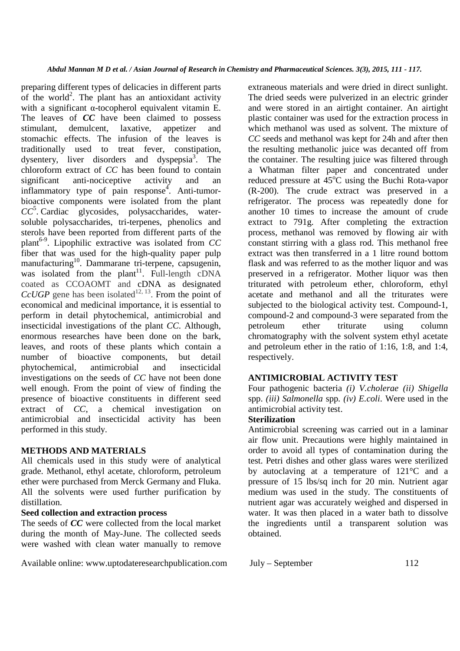preparing different types of delicacies in different parts of the world<sup>2</sup>. The plant has an antioxidant activity with a significant α-tocopherol equivalent vitamin E. The leaves of *CC* have been claimed to possess stimulant, demulcent, laxative, appetizer and stomachic effects. The infusion of the leaves is traditionally used to treat fever, constipation, dysentery, liver disorders and dyspepsia<sup>3</sup>. The chloroform extract of *CC* has been found to contain significant anti-nociceptive activity and an inflammatory type of pain response<sup>4</sup>. Anti-tumorbioactive components were isolated from the plant *CC*<sup>5</sup> . Cardiac glycosides, polysaccharides, watersoluble polysaccharides, tri-terpenes, phenolics and sterols have been reported from different parts of the plant6-9. Lipophilic extractive was isolated from *CC*  fiber that was used for the high-quality paper pulp manufacturing<sup>10</sup>. Dammarane tri-terpene, capsugenin, was isolated from the plant<sup>11</sup>. Full-length cDNA coated as CCOAOMT and cDNA as designated  $CcUGP$  gene has been isolated<sup>12, 13</sup>. From the point of economical and medicinal importance, it is essential to perform in detail phytochemical, antimicrobial and insecticidal investigations of the plant *CC*. Although, enormous researches have been done on the bark, leaves, and roots of these plants which contain a number of bioactive components, but detail phytochemical, antimicrobial and insecticidal investigations on the seeds of *CC* have not been done well enough. From the point of view of finding the presence of bioactive constituents in different seed extract of *CC*, a chemical investigation on antimicrobial and insecticidal activity has been performed in this study.

### **METHODS AND MATERIALS**

All chemicals used in this study were of analytical grade. Methanol, ethyl acetate, chloroform, petroleum ether were purchased from Merck Germany and Fluka. All the solvents were used further purification by distillation.

## **Seed collection and extraction process**

The seeds of *CC* were collected from the local market during the month of May-June. The collected seeds were washed with clean water manually to remove

Available online: www.uptodateresearchpublication.com July – September 112

extraneous materials and were dried in direct sunlight. The dried seeds were pulverized in an electric grinder and were stored in an airtight container. An airtight plastic container was used for the extraction process in which methanol was used as solvent. The mixture of *CC* seeds and methanol was kept for 24h and after then the resulting methanolic juice was decanted off from the container. The resulting juice was filtered through a Whatman filter paper and concentrated under reduced pressure at  $45^{\circ}$ C using the Buchi Rota-vapor (R-200). The crude extract was preserved in a refrigerator. The process was repeatedly done for another 10 times to increase the amount of crude extract to 791g. After completing the extraction process, methanol was removed by flowing air with constant stirring with a glass rod. This methanol free extract was then transferred in a 1 litre round bottom flask and was referred to as the mother liquor and was preserved in a refrigerator. Mother liquor was then triturated with petroleum ether, chloroform, ethyl acetate and methanol and all the triturates were subjected to the biological activity test. Compound-1, compound-2 and compound-3 were separated from the petroleum ether triturate using column chromatography with the solvent system ethyl acetate and petroleum ether in the ratio of 1:16, 1:8, and 1:4, respectively.

## **ANTIMICROBIAL ACTIVITY TEST**

Four pathogenic bacteria *(i) V.cholerae (ii) Shigella*  spp. *(iii) Salmonella* spp*. (iv) E.coli*. Were used in the antimicrobial activity test.

## **Sterilization**

Antimicrobial screening was carried out in a laminar air flow unit. Precautions were highly maintained in order to avoid all types of contamination during the test. Petri dishes and other glass wares were sterilized by autoclaving at a temperature of 121°C and a pressure of 15 lbs/sq inch for 20 min. Nutrient agar medium was used in the study. The constituents of nutrient agar was accurately weighed and dispersed in water. It was then placed in a water bath to dissolve the ingredients until a transparent solution was obtained.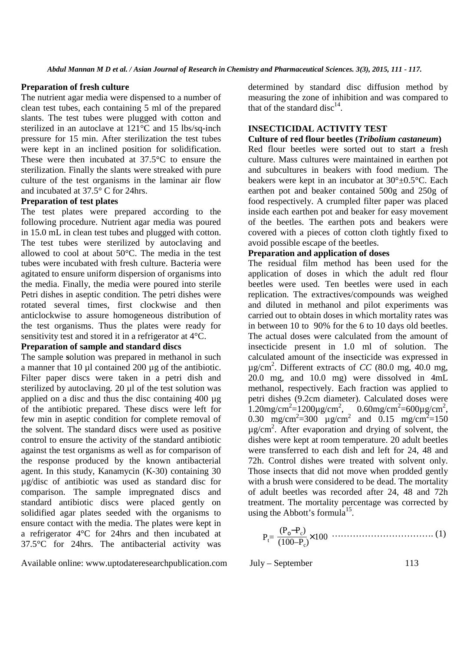#### **Preparation of fresh culture**

The nutrient agar media were dispensed to a number of clean test tubes, each containing 5 ml of the prepared slants. The test tubes were plugged with cotton and sterilized in an autoclave at 121°C and 15 lbs/sq-inch pressure for 15 min. After sterilization the test tubes were kept in an inclined position for solidification. These were then incubated at 37.5°C to ensure the sterilization. Finally the slants were streaked with pure culture of the test organisms in the laminar air flow and incubated at 37.5° C for 24hrs.

#### **Preparation of test plates**

The test plates were prepared according to the following procedure. Nutrient agar media was poured in 15.0 mL in clean test tubes and plugged with cotton. The test tubes were sterilized by autoclaving and allowed to cool at about 50°C. The media in the test tubes were incubated with fresh culture. Bacteria were agitated to ensure uniform dispersion of organisms into the media. Finally, the media were poured into sterile Petri dishes in aseptic condition. The petri dishes were rotated several times, first clockwise and then anticlockwise to assure homogeneous distribution of the test organisms. Thus the plates were ready for sensitivity test and stored it in a refrigerator at 4°C.

#### **Preparation of sample and standard discs**

The sample **s**olution was prepared in methanol in such a manner that 10 µl contained 200 µg of the antibiotic. Filter paper discs were taken in a petri dish and sterilized by autoclaving. 20 µl of the test solution was applied on a disc and thus the disc containing 400 µg of the antibiotic prepared. These discs were left for few min in aseptic condition for complete removal of the solvent. The standard discs were used as positive control to ensure the activity of the standard antibiotic against the test organisms as well as for comparison of the response produced by the known antibacterial agent. In this study, Kanamycin (K-30) containing 30 µg/disc of antibiotic was used as standard disc for comparison. The sample impregnated discs and standard antibiotic discs were placed gently on solidified agar plates seeded with the organisms to ensure contact with the media. The plates were kept in a refrigerator 4°C for 24hrs and then incubated at 37.5°C for 24hrs. The antibacterial activity was

Available online: www.uptodateresearchpublication.com July – September 113

determined by standard disc diffusion method by measuring the zone of inhibition and was compared to that of the standard disc<sup>14</sup>.

#### **INSECTICIDAL ACTIVITY TEST**

#### **Culture of red flour beetles (***Tribolium castaneum***)**

Red flour beetles were sorted out to start a fresh culture. Mass cultures were maintained in earthen pot and subcultures in beakers with food medium. The beakers were kept in an incubator at 30°±0.5°C. Each earthen pot and beaker contained 500g and 250g of food respectively. A crumpled filter paper was placed inside each earthen pot and beaker for easy movement of the beetles. The earthen pots and beakers were covered with a pieces of cotton cloth tightly fixed to avoid possible escape of the beetles.

#### **Preparation and application of doses**

The residual film method has been used for the application of doses in which the adult red flour beetles were used. Ten beetles were used in each replication. The extractives/compounds was weighed and diluted in methanol and pilot experiments was carried out to obtain doses in which mortality rates was in between 10 to 90% for the 6 to 10 days old beetles. The actual doses were calculated from the amount of insecticide present in 1.0 ml of solution. The calculated amount of the insecticide was expressed in  $\mu$ g/cm<sup>2</sup>. Different extracts of *CC* (80.0 mg, 40.0 mg, 20.0 mg, and 10.0 mg) were dissolved in 4mL methanol, respectively. Each fraction was applied to petri dishes (9.2cm diameter). Calculated doses were  $1.20$ mg/cm<sup>2</sup>=1200µg/cm<sup>2</sup>, 0.60mg/cm<sup>2</sup>=600µg/cm<sup>2</sup>, 0.30 mg/cm<sup>2</sup>=300  $\mu$ g/cm<sup>2</sup> and 0.15 mg/cm<sup>2</sup>=150 µg/cm<sup>2</sup> . After evaporation and drying of solvent, the dishes were kept at room temperature. 20 adult beetles were transferred to each dish and left for 24, 48 and 72h. Control dishes were treated with solvent only. Those insects that did not move when prodded gently with a brush were considered to be dead. The mortality of adult beetles was recorded after 24, 48 and 72h treatment. The mortality percentage was corrected by using the Abbott's formula<sup>15</sup>.

 ……………………………. (1) (Pο−P<sup>c</sup> ) <sup>P</sup>t= (100–P<sup>c</sup> ) ×<sup>100</sup>

$$
July-September \t\t 113
$$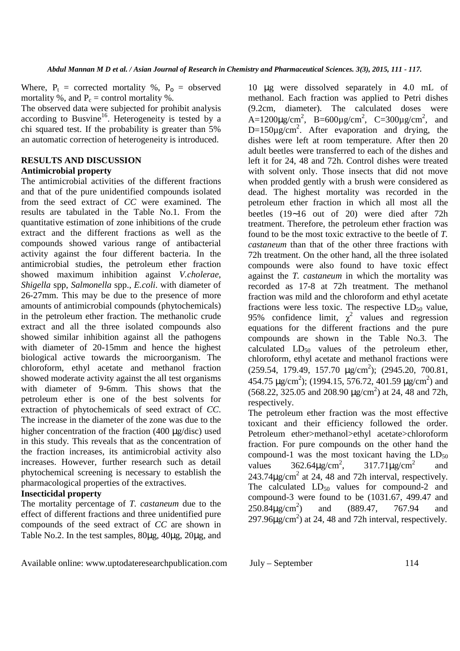Where,  $P_t$  = corrected mortality %,  $P_0$  = observed mortality %, and  $P_c$  = control mortality %.

The observed data were subjected for prohibit analysis according to Busvine<sup>16</sup>. Heterogeneity is tested by a chi squared test. If the probability is greater than 5% an automatic correction of heterogeneity is introduced.

#### **RESULTS AND DISCUSSION Antimicrobial property**

The antimicrobial activities of the different fractions and that of the pure unidentified compounds isolated from the seed extract of *CC* were examined. The results are tabulated in the Table No.1. From the quantitative estimation of zone inhibitions of the crude extract and the different fractions as well as the compounds showed various range of antibacterial activity against the four different bacteria. In the antimicrobial studies, the petroleum ether fraction showed maximum inhibition against *V.cholerae*, *Shigella* spp, *Salmonella* spp., *E.coli*. with diameter of 26-27mm. This may be due to the presence of more amounts of antimicrobial compounds (phytochemicals) in the petroleum ether fraction. The methanolic crude extract and all the three isolated compounds also showed similar inhibition against all the pathogens with diameter of 20-15mm and hence the highest biological active towards the microorganism. The chloroform, ethyl acetate and methanol fraction showed moderate activity against the all test organisms with diameter of 9-6mm. This shows that the petroleum ether is one of the best solvents for extraction of phytochemicals of seed extract of *CC*. The increase in the diameter of the zone was due to the higher concentration of the fraction (400 µg/disc) used in this study. This reveals that as the concentration of the fraction increases, its antimicrobial activity also increases. However, further research such as detail phytochemical screening is necessary to establish the pharmacological properties of the extractives.

#### **Insecticidal property**

The mortality percentage of *T. castaneum* due to the effect of different fractions and three unidentified pure compounds of the seed extract of *CC* are shown in Table No.2. In the test samples, 80µg, 40µg, 20µg, and

10 µg were dissolved separately in 4.0 mL of methanol. Each fraction was applied to Petri dishes (9.2cm, diameter). The calculated doses were A=1200 $\mu$ g/cm<sup>2</sup>, B=600 $\mu$ g/cm<sup>2</sup>, C=300 $\mu$ g/cm<sup>2</sup>, and  $D=150\mu g/cm^2$ . After evaporation and drying, the dishes were left at room temperature. After then 20 adult beetles were transferred to each of the dishes and left it for 24, 48 and 72h. Control dishes were treated with solvent only. Those insects that did not move when prodded gently with a brush were considered as dead. The highest mortality was recorded in the petroleum ether fraction in which all most all the beetles (19∼16 out of 20) were died after 72h treatment. Therefore, the petroleum ether fraction was found to be the most toxic extractive to the beetle of *T. castaneum* than that of the other three fractions with 72h treatment. On the other hand, all the three isolated compounds were also found to have toxic effect against the *T. castaneum* in which the mortality was recorded as 17-8 at 72h treatment. The methanol fraction was mild and the chloroform and ethyl acetate fractions were less toxic. The respective  $LD_{50}$  value, 95% confidence limit,  $\chi^2$  values and regression equations for the different fractions and the pure compounds are shown in the Table No.3. The calculated  $LD_{50}$  values of the petroleum ether, chloroform, ethyl acetate and methanol fractions were  $(259.54, 179.49, 157.70 \mu g/cm<sup>2</sup>)$ ;  $(2945.20, 700.81,$ 454.75  $\mu$ g/cm<sup>2</sup>); (1994.15, 576.72, 401.59  $\mu$ g/cm<sup>2</sup>) and  $(568.22, 325.05 \text{ and } 208.90 \mu\text{g/cm}^2)$  at 24, 48 and 72h, respectively.

The petroleum ether fraction was the most effective toxicant and their efficiency followed the order. Petroleum ether>methanol>ethyl acetate>chloroform fraction. For pure compounds on the other hand the compound-1 was the most toxicant having the  $LD_{50}$ values  $362.64\mu\text{g/cm}^2$ ,  $317.71 \mu$ g/cm<sup>2</sup> and  $243.74 \mu$ g/cm<sup>2</sup> at 24, 48 and 72h interval, respectively. The calculated  $LD_{50}$  values for compound-2 and compound-3 were found to be (1031.67, 499.47 and  $250.84\mu\text{g/cm}^2$ ) ) and (889.47, 767.94 and 297.96 $\mu$ g/cm<sup>2</sup>) at 24, 48 and 72h interval, respectively.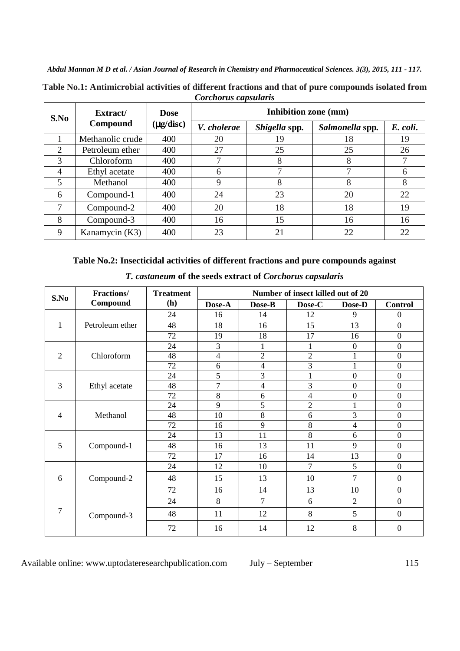| Corcitorus cupsuturis |                      |                               |                      |               |                 |          |  |
|-----------------------|----------------------|-------------------------------|----------------------|---------------|-----------------|----------|--|
| S.No                  | Extract/<br>Compound | <b>Dose</b><br>$(\mu$ g/disc) | Inhibition zone (mm) |               |                 |          |  |
|                       |                      |                               | V. cholerae          | Shigella spp. | Salmonella spp. | E. coli. |  |
|                       | Methanolic crude     | 400                           | 20                   | 19            | 18              | 19       |  |
| $\overline{2}$        | Petroleum ether      | 400                           | 27                   | 25            | 25              | 26       |  |
| 3                     | Chloroform           | 400                           | 7                    | 8             | 8               |          |  |
| $\overline{4}$        | Ethyl acetate        | 400                           | 6                    | 7             |                 | 6        |  |
| 5                     | Methanol             | 400                           | 9                    | 8             | 8               | 8        |  |
| 6                     | Compound-1           | 400                           | 24                   | 23            | 20              | 22       |  |
| $\tau$                | Compound-2           | 400                           | 20                   | 18            | 18              | 19       |  |
| 8                     | Compound-3           | 400                           | 16                   | 15            | 16              | 16       |  |
| 9                     | Kanamycin (K3)       | 400                           | 23                   | 21            | 22              | 22       |  |

**Table No.1: Antimicrobial activities of different fractions and that of pure compounds isolated from**  *Corchorus capsularis*

## **Table No.2: Insecticidal activities of different fractions and pure compounds against**

| S.No           | <b>Fractions/</b><br>Compound | <b>Treatment</b> | Number of insect killed out of 20 |                          |                |                  |                  |
|----------------|-------------------------------|------------------|-----------------------------------|--------------------------|----------------|------------------|------------------|
|                |                               | (h)              | Dose-A                            | Dose-B                   | Dose-C         | Dose-D           | <b>Control</b>   |
| $\mathbf{1}$   | Petroleum ether               | 24               | 16                                | 14                       | 12             | 9                | $\Omega$         |
|                |                               | 48               | 18                                | 16                       | 15             | 13               | $\boldsymbol{0}$ |
|                |                               | 72               | 19                                | 18                       | 17             | 16               | $\boldsymbol{0}$ |
| $\overline{2}$ | Chloroform                    | 24               | 3                                 | $\mathbf{1}$             | $\mathbf{1}$   | $\boldsymbol{0}$ | $\boldsymbol{0}$ |
|                |                               | 48               | 4                                 | $\overline{2}$           | $\overline{2}$ | $\mathbf{1}$     | $\boldsymbol{0}$ |
|                |                               | 72               | 6                                 | $\overline{\mathcal{L}}$ | 3              |                  | $\boldsymbol{0}$ |
| 3              | Ethyl acetate                 | 24               | 5                                 | 3                        | $\mathbf{1}$   | $\boldsymbol{0}$ | $\boldsymbol{0}$ |
|                |                               | 48               | 7                                 | $\overline{\mathcal{L}}$ | 3              | $\overline{0}$   | $\boldsymbol{0}$ |
|                |                               | 72               | 8                                 | 6                        | $\overline{4}$ | $\boldsymbol{0}$ | $\boldsymbol{0}$ |
| $\overline{4}$ | Methanol                      | 24               | 9                                 | 5                        | $\overline{2}$ | $\mathbf 1$      | $\boldsymbol{0}$ |
|                |                               | 48               | 10                                | 8                        | 6              | 3                | $\boldsymbol{0}$ |
|                |                               | 72               | 16                                | 9                        | 8              | 4                | $\boldsymbol{0}$ |
| 5              | Compound-1                    | 24               | 13                                | 11                       | 8              | 6                | $\boldsymbol{0}$ |
|                |                               | 48               | 16                                | 13                       | 11             | 9                | $\boldsymbol{0}$ |
|                |                               | 72               | 17                                | 16                       | 14             | 13               | $\boldsymbol{0}$ |
| 6              | Compound-2                    | 24               | 12                                | 10                       | 7              | 5                | $\boldsymbol{0}$ |
|                |                               | 48               | 15                                | 13                       | 10             | 7                | $\boldsymbol{0}$ |
|                |                               | 72               | 16                                | 14                       | 13             | 10               | $\boldsymbol{0}$ |
| 7              | Compound-3                    | 24               | 8                                 | $\overline{7}$           | 6              | $\overline{2}$   | $\mathbf{0}$     |
|                |                               | 48               | 11                                | 12                       | 8              | 5                | $\boldsymbol{0}$ |
|                |                               | 72               | 16                                | 14                       | 12             | 8                | $\overline{0}$   |

*T. castaneum* **of the seeds extract of** *Corchorus capsularis*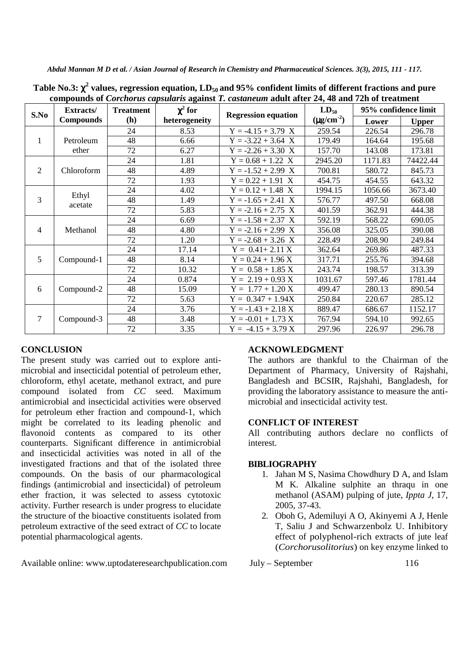| Compounds of Corenoras capsalaris against F. castaneum aquit after 24, 40 and 72n of treatment |                                      |                  |                                                             |                      |           |                      |          |  |  |
|------------------------------------------------------------------------------------------------|--------------------------------------|------------------|-------------------------------------------------------------|----------------------|-----------|----------------------|----------|--|--|
| S.No                                                                                           | <b>Extracts/</b><br><b>Compounds</b> | <b>Treatment</b> | $\chi^2$ for<br><b>Regression equation</b><br>heterogeneity |                      | $LD_{50}$ | 95% confidence limit |          |  |  |
|                                                                                                |                                      | (h)              |                                                             | $(\mu g/cm^{-2})$    | Lower     | <b>Upper</b>         |          |  |  |
| 1                                                                                              | Petroleum<br>ether                   | 24               | 8.53                                                        | $Y = -4.15 + 3.79$ X | 259.54    | 226.54               | 296.78   |  |  |
|                                                                                                |                                      | 48               | 6.66                                                        | $Y = -3.22 + 3.64$ X | 179.49    | 164.64               | 195.68   |  |  |
|                                                                                                |                                      | 72               | 6.27                                                        | $Y = -2.26 + 3.30 X$ | 157.70    | 143.08               | 173.81   |  |  |
| $\overline{2}$                                                                                 | Chloroform                           | 24               | 1.81                                                        | $Y = 0.68 + 1.22 X$  | 2945.20   | 1171.83              | 74422.44 |  |  |
|                                                                                                |                                      | 48               | 4.89                                                        | $Y = -1.52 + 2.99$ X | 700.81    | 580.72               | 845.73   |  |  |
|                                                                                                |                                      | 72               | 1.93                                                        | $Y = 0.22 + 1.91$ X  | 454.75    | 454.55               | 643.32   |  |  |
| 3                                                                                              | Ethyl<br>acetate                     | 24               | 4.02                                                        | $Y = 0.12 + 1.48$ X  | 1994.15   | 1056.66              | 3673.40  |  |  |
|                                                                                                |                                      | 48               | 1.49                                                        | $Y = -1.65 + 2.41 X$ | 576.77    | 497.50               | 668.08   |  |  |
|                                                                                                |                                      | 72               | 5.83                                                        | $Y = -2.16 + 2.75$ X | 401.59    | 362.91               | 444.38   |  |  |
| $\overline{4}$                                                                                 | Methanol                             | 24               | 6.69                                                        | $Y = -1.58 + 2.37$ X | 592.19    | 568.22               | 690.05   |  |  |
|                                                                                                |                                      | 48               | 4.80                                                        | $Y = -2.16 + 2.99$ X | 356.08    | 325.05               | 390.08   |  |  |
|                                                                                                |                                      | 72               | 1.20                                                        | $Y = -2.68 + 3.26$ X | 228.49    | 208.90               | 249.84   |  |  |
| 5                                                                                              | Compound-1                           | 24               | 17.14                                                       | $Y = 0.41 + 2.11 X$  | 362.64    | 269.86               | 487.33   |  |  |
|                                                                                                |                                      | 48               | 8.14                                                        | $Y = 0.24 + 1.96 X$  | 317.71    | 255.76               | 394.68   |  |  |
|                                                                                                |                                      | 72               | 10.32                                                       | $Y = 0.58 + 1.85 X$  | 243.74    | 198.57               | 313.39   |  |  |
| 6                                                                                              | Compound-2                           | 24               | 0.874                                                       | $Y = 2.19 + 0.93 X$  | 1031.67   | 597.46               | 1781.44  |  |  |
|                                                                                                |                                      | 48               | 15.09                                                       | $Y = 1.77 + 1.20 X$  | 499.47    | 280.13               | 890.54   |  |  |
|                                                                                                |                                      | 72               | 5.63                                                        | $Y = 0.347 + 1.94X$  | 250.84    | 220.67               | 285.12   |  |  |
| $\overline{7}$                                                                                 | Compound-3                           | 24               | 3.76                                                        | $Y = -1.43 + 2.18 X$ | 889.47    | 686.67               | 1152.17  |  |  |
|                                                                                                |                                      | 48               | 3.48                                                        | $Y = -0.01 + 1.73 X$ | 767.94    | 594.10               | 992.65   |  |  |
|                                                                                                |                                      | 72               | 3.35                                                        | $Y = -4.15 + 3.79 X$ | 297.96    | 226.97               | 296.78   |  |  |

**Table No.3:** χ**<sup>2</sup> values, regression equation, LD50 and 95% confident limits of different fractions and pure compounds of** *Corchorus capsularis* **against** *T. castaneum* **adult after 24, 48 and 72h of treatment**

## **CONCLUSION**

The present study was carried out to explore antimicrobial and insecticidal potential of petroleum ether, chloroform, ethyl acetate, methanol extract, and pure compound isolated from *CC* seed. Maximum antimicrobial and insecticidal activities were observed for petroleum ether fraction and compound-1, which might be correlated to its leading phenolic and flavonoid contents as compared to its other counterparts. Significant difference in antimicrobial and insecticidal activities was noted in all of the investigated fractions and that of the isolated three compounds. On the basis of our pharmacological findings (antimicrobial and insecticidal) of petroleum ether fraction, it was selected to assess cytotoxic activity. Further research is under progress to elucidate the structure of the bioactive constituents isolated from petroleum extractive of the seed extract of *CC* to locate potential pharmacological agents.

Available online: www.uptodateresearchpublication.com July – September 116

## **ACKNOWLEDGMENT**

The authors are thankful to the Chairman of the Department of Pharmacy, University of Rajshahi, Bangladesh and BCSIR, Rajshahi, Bangladesh, for providing the laboratory assistance to measure the antimicrobial and insecticidal activity test.

## **CONFLICT OF INTEREST**

All contributing authors declare no conflicts of interest.

## **BIBLIOGRAPHY**

- 1. Jahan M S, Nasima Chowdhury D A, and Islam M K. Alkaline sulphite an thraqu in one methanol (ASAM) pulping of jute, *Ippta J*, 17, 2005, 37-43.
- 2. Oboh G, Ademiluyi A O, Akinyemi A J, Henle T, Saliu J and Schwarzenbolz U. Inhibitory effect of polyphenol-rich extracts of jute leaf (*Corchorusolitorius*) on key enzyme linked to